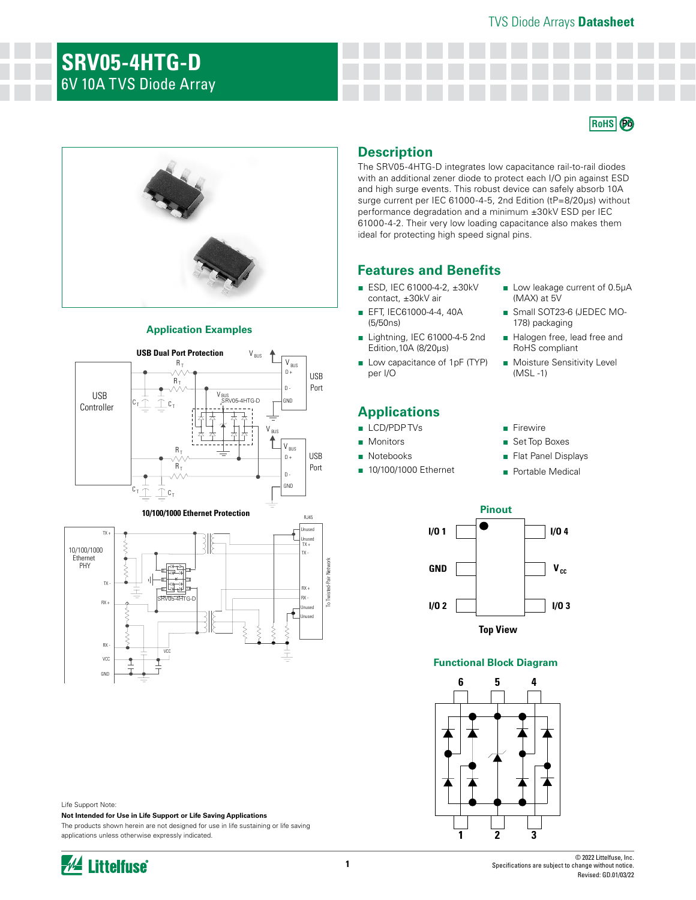# TVS Diode Arrays **Datasheet**

# **SRV05-4HTG-D**  6V 10A TVS Diode Array





# **Application Examples**



# **10/100/1000 Ethernet Protection**



Life Support Note:

**Not Intended for Use in Life Support or Life Saving Applications**

The products shown herein are not designed for use in life sustaining or life saving applications unless otherwise expressly indicated.

# **Description**

The SRV05-4HTG-D integrates low capacitance rail-to-rail diodes with an additional zener diode to protect each I/O pin against ESD and high surge events. This robust device can safely absorb 10A surge current per IEC 61000-4-5, 2nd Edition (tP=8/20μs) without performance degradation and a minimum ±30kV ESD per IEC 61000-4-2. Their very low loading capacitance also makes them ideal for protecting high speed signal pins.

# **Features and Benefits**

- ESD, IEC 61000-4-2, ±30kV contact, ±30kV air
- EFT, IEC61000-4-4, 40A (5/50ns)
- Lightning, IEC 61000-4-5 2nd Edition,10A (8/20μs)
- Low capacitance of 1pF (TYP) per I/O

# **Applications**

- LCD/PDP TVs
- Monitors
- Notebooks

RJ45

■ 10/100/1000 Ethernet

- Low leakage current of 0.5µA (MAX) at 5V
- Small SOT23-6 (JEDEC MO-178) packaging
- Halogen free, lead free and RoHS compliant
- Moisture Sensitivity Level (MSL -1)

## ■ Firewire

- Set Top Boxes
- Flat Panel Displays
- Portable Medical



# **Functional Block Diagram**

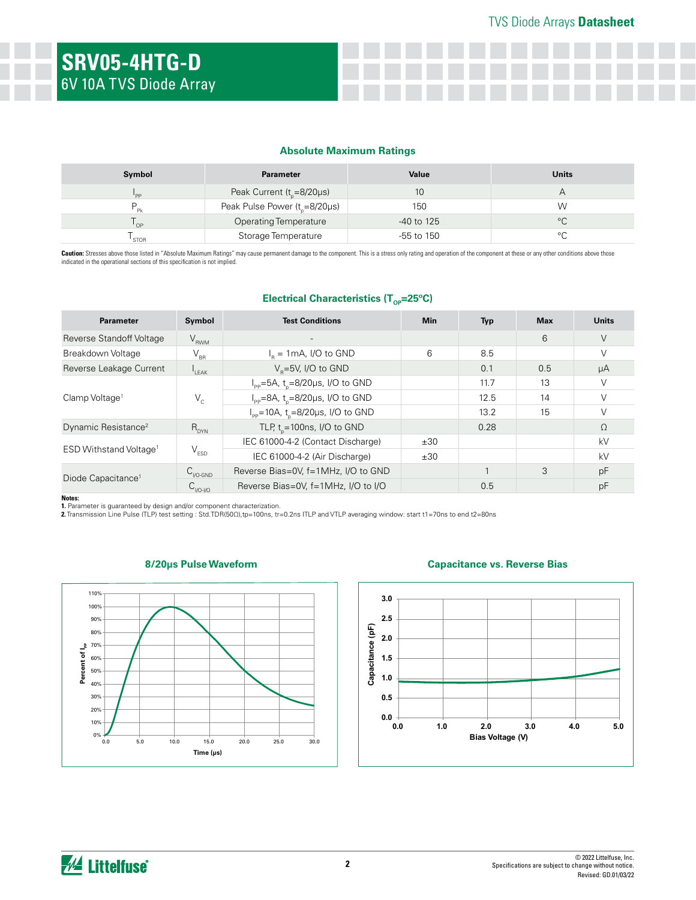# **Absolute Maximum Ratings**

| Symbol      | <b>Parameter</b>                  | Value        | <b>Units</b> |
|-------------|-----------------------------------|--------------|--------------|
| 'PP         | Peak Current ( $t_{0}$ =8/20µs)   | 10           |              |
|             | Peak Pulse Power $(tn=8/20\mu s)$ | 150          | W            |
| OP          | <b>Operating Temperature</b>      | $-40$ to 125 | $\circ$      |
| <b>STOR</b> | Storage Temperature               | $-55$ to 150 | $\circ$      |

Caution: Stresses above those listed in "Absolute Maximum Ratings" may cause permanent damage to the component. This is a stress only rating and operation of the component at these or any other conditions above those indicated in the operational sections of this specification is not implied.

# **Electrical Characteristics (T<sub>op</sub>=25°C)**

| <b>Parameter</b>                   | Symbol                      | <b>Test Conditions</b>                                    | <b>Min</b> | <b>Typ</b> | <b>Max</b> | <b>Units</b> |
|------------------------------------|-----------------------------|-----------------------------------------------------------|------------|------------|------------|--------------|
| Reverse Standoff Voltage           | $V_{RWM}$                   |                                                           |            |            | 6          | $\vee$       |
| Breakdown Voltage                  | $\rm V_{_{BR}}$             | $I_R = 1 \text{mA}$ , I/O to GND                          | 6          | 8.5        |            | $\vee$       |
| Reverse Leakage Current            | $I_{LEAK}$                  | $V_p = 5V$ , I/O to GND                                   |            | 0.1        | 0.5        | μA           |
| Clamp Voltage <sup>1</sup>         | $V_c$                       | $I_{\text{pp}} = 5A$ , t <sub>n</sub> =8/20µs, I/O to GND |            | 11.7       | 13         | V            |
|                                    |                             | $I_{\text{pp}} = 8A$ , t <sub>p</sub> =8/20µs, I/O to GND |            | 12.5       | 14         | $\vee$       |
|                                    |                             | $I_{\text{pp}}$ =10A, t <sub>o</sub> =8/20µs, I/O to GND  |            | 13.2       | 15         |              |
| Dynamic Resistance <sup>2</sup>    | $R_{DYN}$                   | TLP, $t_{0}$ = 100ns, I/O to GND                          |            | 0.28       |            | $\Omega$     |
| ESD Withstand Voltage <sup>1</sup> | $\mathsf{V}_{\texttt{ESD}}$ | IEC 61000-4-2 (Contact Discharge)                         | ±30        |            |            | kV           |
|                                    |                             | IEC 61000-4-2 (Air Discharge)                             | ±30        |            |            | kV           |
| Diode Capacitance <sup>1</sup>     | $C_{V0\text{-GND}}$         | Reverse Bias=0V, f=1MHz, I/O to GND                       |            |            | 3          | pF           |
|                                    | $C_{VO-VO}$                 | Reverse Bias=0V, f=1MHz, I/O to I/O                       |            | 0.5        |            | pF           |

**Notes:**

**1.** Parameter is guaranteed by design and/or component characterization.<br>**2.** Transmission Line Pulse (TLP) test setting : Std.TDR(50Ω),tp=100ns, tr=0.2ns ITLP and VTLP averaging window: start t1=70ns to end t2=80ns



# **8/20μs Pulse Waveform Capacitance vs. Reverse Bias**

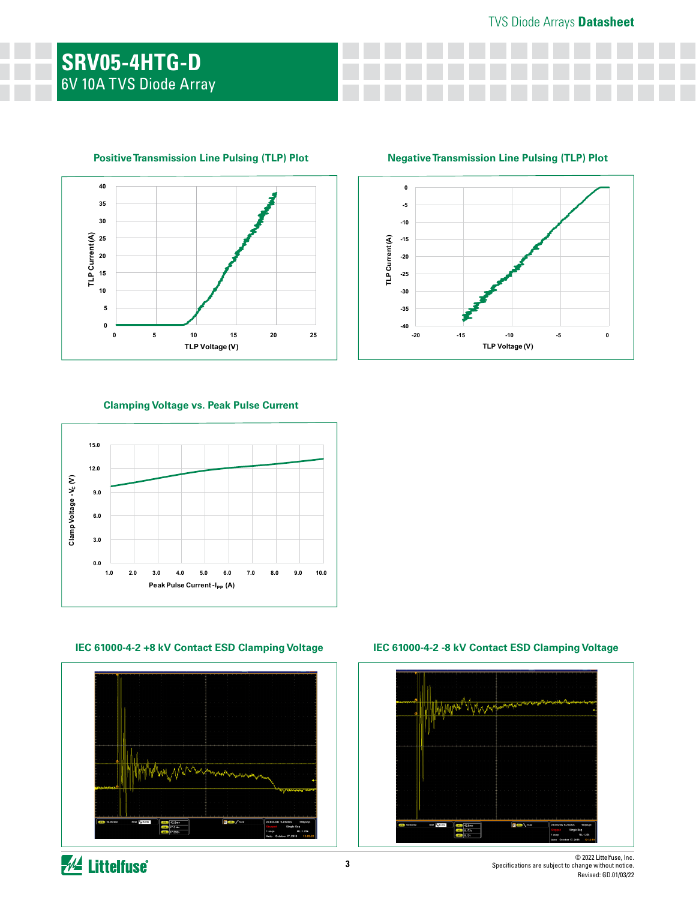

**Positive Transmission Line Pulsing (TLP) Plot Negative Transmission Line Pulsing (TLP) Plot**



# **Clamping Voltage vs. Peak Pulse Current**



# **IEC 61000-4-2 +8 kV Contact ESD Clamping Voltage IEC 61000-4-2 -8 kV Contact ESD Clamping Voltage**



# "Vyna

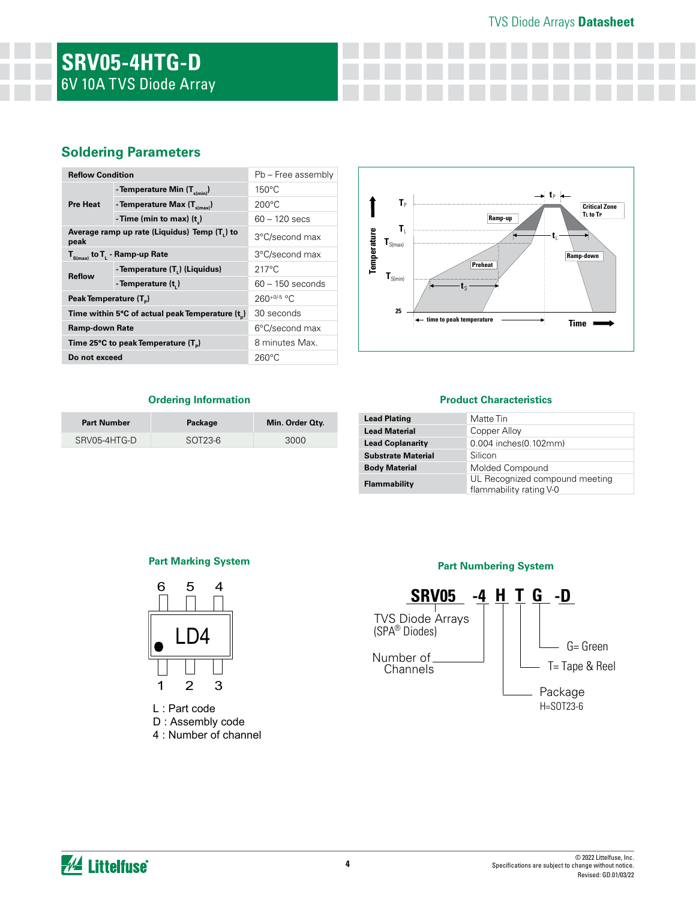# TVS Diode Arrays **Datasheet**

# **Soldering Parameters**

| <b>Reflow Condition</b>                                           |                                          | Pb - Free assembly |  |
|-------------------------------------------------------------------|------------------------------------------|--------------------|--|
| <b>Pre Heat</b>                                                   | - Temperature Min (T <sub>s(min)</sub> ) | $150^{\circ}$ C    |  |
|                                                                   | - Temperature Max (T <sub>s(max)</sub> ) | $200^{\circ}$ C    |  |
|                                                                   | - Time (min to max) $(t_2)$              | $60 - 120$ secs    |  |
| Average ramp up rate (Liquidus) Temp (T <sub>1</sub> ) to<br>peak |                                          | 3°C/second max     |  |
| $T_{S(max)}$ to $T_{L}$ - Ramp-up Rate                            |                                          | 3°C/second max     |  |
| <b>Reflow</b>                                                     | - Temperature (T.) (Liquidus)            | $217^{\circ}$ C    |  |
|                                                                   | - Temperature (t,)                       | $60 - 150$ seconds |  |
| Peak Temperature (T <sub>n</sub> )                                |                                          | $260^{+0/5}$ °C    |  |
| Time within 5°C of actual peak Temperature (t)                    |                                          | 30 seconds         |  |
| Ramp-down Rate                                                    |                                          | 6°C/second max     |  |
| Time 25°C to peak Temperature (T <sub>a</sub> )                   |                                          | 8 minutes Max.     |  |
| Do not exceed                                                     |                                          | $260^{\circ}$ C    |  |



# **Ordering Information**

| <b>Part Number</b> | Package | Min. Order Oty. |
|--------------------|---------|-----------------|
| SRV05-4HTG-D       | SOT23-6 | 3000            |

# **Product Characteristics**

| Matte Tin                                                 |
|-----------------------------------------------------------|
| Copper Alloy                                              |
| 0.004 inches(0.102mm)                                     |
| Silicon                                                   |
| Molded Compound                                           |
| UL Recognized compound meeting<br>flammability rating V-0 |
|                                                           |



L : Part code D : Assembly code 4 : Number of channel



*M* Littelfuse®